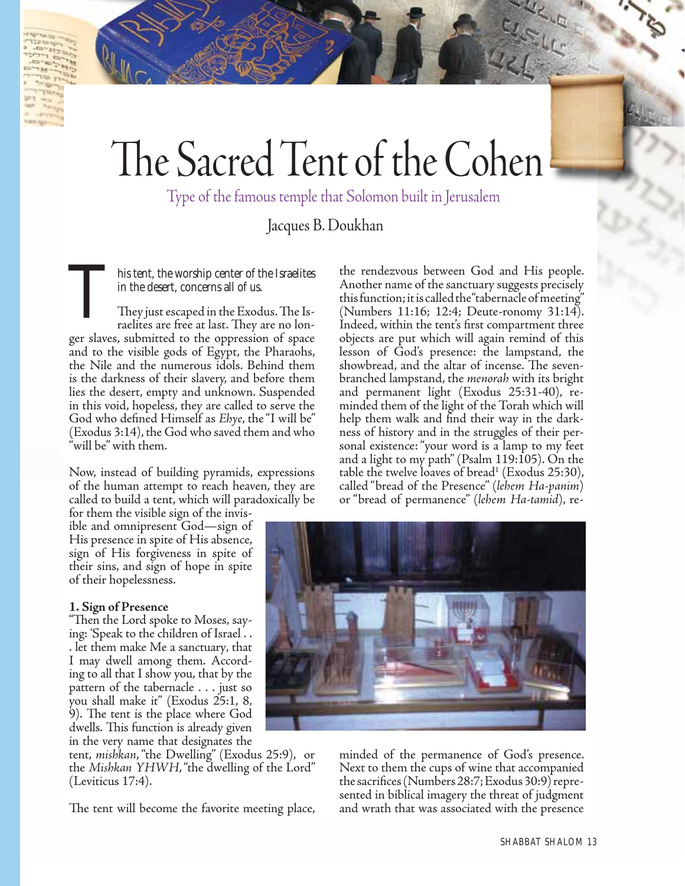## The Sacred Tent of the Cohen

Type of the famous temple that Solomon built in Jerusalem

Jacques B. Doukhan

This tent, the worship center of the Israelites<br>
in the desert, concerns all of us.<br>
They just escaped in the Exodus. The Israelites are free at last. They are no lon-<br>
They alsue, submitted to the engagement of grees. in the desert, concerns all of us. They just escaped in the Exodus. The Isger slaves, submitted to the oppression of space and to the visible gods of Egypt, the Pharaohs, the Nile and the numerous idols. Behind them is the darkness of their slavery, and before them lies the desert, empty and unknown. Suspended in this void, hopeless, they are called to serve the God who defined Himself as *Ehye*, the "I will be" (Exodus 3:14), the God who saved them and who

Now, instead of building pyramids, expressions of the human attempt to reach heaven, they are called to build a tent, which will paradoxically be

for them the visible sign of the invisible and omnipresent God—sign of His presence in spite of His absence, sign of His forgiveness in spite of their sins, and sign of hope in spite of their hopelessness.

## **1. Sign of Presence**

"will be" with them.

"Then the Lord spoke to Moses, saying: 'Speak to the children of Israel . . . let them make Me a sanctuary, that I may dwell among them. According to all that I show you, that by the pattern of the tabernacle . . . just so you shall make it" (Exodus 25:1, 8, 9). The tent is the place where God dwells. This function is already given in the very name that designates the

tent, *mishkan*, "the Dwelling" (Exodus 25:9), or the *Mishkan YHWH*, "the dwelling of the Lord" (Leviticus 17:4).

The tent will become the favorite meeting place,

the rendezvous between God and His people. Another name of the sanctuary suggests precisely this function; it is called the "tabernacle of meeting" (Numbers 11:16; 12:4; Deute-ronomy 31:14). Indeed, within the tent's first compartment three objects are put which will again remind of this lesson of God's presence: the lampstand, the showbread, and the altar of incense. The sevenbranched lampstand, the *menorah* with its bright and permanent light (Exodus 25:31-40), reminded them of the light of the Torah which will help them walk and find their way in the darkness of history and in the struggles of their personal existence: "your word is a lamp to my feet and a light to my path" (Psalm 119:105). On the table the twelve loaves of bread<sup>1</sup> (Exodus 25:30), called "bread of the Presence" (*lehem Ha-panim*) or "bread of permanence" (*lehem Ha-tamid*), re-



minded of the permanence of God's presence. Next to them the cups of wine that accompanied the sacrifices (Numbers 28:7; Exodus 30:9) represented in biblical imagery the threat of judgment and wrath that was associated with the presence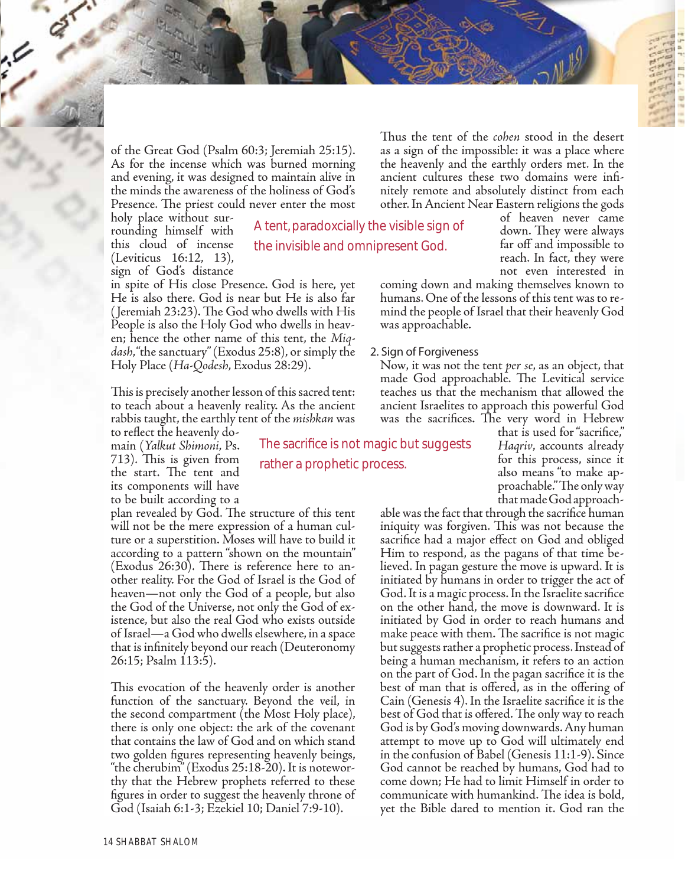of the Great God (Psalm 60:3; Jeremiah 25:15). As for the incense which was burned morning and evening, it was designed to maintain alive in the minds the awareness of the holiness of God's Presence. The priest could never enter the most

holy place without surrounding himself with this cloud of incense (Leviticus 16:12, 13), sign of God's distance A tent, paradoxcially the visible sign of the invisible and omnipresent God.

in spite of His close Presence. God is here, yet He is also there. God is near but He is also far (Jeremiah 23:23). The God who dwells with His People is also the Holy God who dwells in heaven; hence the other name of this tent, the *Miqdash*, "the sanctuary" (Exodus 25:8), or simply the Holy Place (*Ha-Qodesh*, Exodus 28:29).

This is precisely another lesson of this sacred tent: to teach about a heavenly reality. As the ancient rabbis taught, the earthly tent of the *mishkan* was

to reflect the heavenly domain (*Yalkut Shimoni*, Ps. 713). This is given from the start. The tent and its components will have to be built according to a

plan revealed by God. The structure of this tent will not be the mere expression of a human culture or a superstition. Moses will have to build it according to a pattern "shown on the mountain"  $(Exodus 26:30)$ . There is reference here to another reality. For the God of Israel is the God of heaven—not only the God of a people, but also the God of the Universe, not only the God of existence, but also the real God who exists outside of Israel—a God who dwells elsewhere, in a space that is infinitely beyond our reach (Deuteronomy 26:15; Psalm 113:5).

This evocation of the heavenly order is another function of the sanctuary. Beyond the veil, in the second compartment (the Most Holy place), there is only one object: the ark of the covenant that contains the law of God and on which stand two golden figures representing heavenly beings, "the cherubim" (Exodus 25:18-20). It is noteworthy that the Hebrew prophets referred to these figures in order to suggest the heavenly throne of God (Isaiah 6:1-3; Ezekiel 10; Daniel 7:9-10).

The sacrifice is not magic but suggests rather a prophetic process.

Thus the tent of the *cohen* stood in the desert as a sign of the impossible: it was a place where the heavenly and the earthly orders met. In the ancient cultures these two domains were infinitely remote and absolutely distinct from each other. In Ancient Near Eastern religions the gods

> of heaven never came down. They were always far off and impossible to reach. In fact, they were not even interested in

coming down and making themselves known to humans. One of the lessons of this tent was to remind the people of Israel that their heavenly God was approachable.

2. Sign of Forgiveness

Now, it was not the tent *per se*, as an object, that made God approachable. The Levitical service teaches us that the mechanism that allowed the ancient Israelites to approach this powerful God was the sacrifices. The very word in Hebrew

> that is used for "sacrifice," *Haqriv*, accounts already for this process, since it also means "to make approachable." The only way that made God approach-

able was the fact that through the sacrifice human iniquity was forgiven. This was not because the sacrifice had a major effect on God and obliged Him to respond, as the pagans of that time believed. In pagan gesture the move is upward. It is initiated by humans in order to trigger the act of God. It is a magic process. In the Israelite sacrifice on the other hand, the move is downward. It is initiated by God in order to reach humans and make peace with them. The sacrifice is not magic but suggests rather a prophetic process. Instead of being a human mechanism, it refers to an action on the part of God. In the pagan sacrifice it is the best of man that is offered, as in the offering of Cain (Genesis 4). In the Israelite sacrifice it is the best of God that is offered. The only way to reach God is by God's moving downwards. Any human attempt to move up to God will ultimately end in the confusion of Babel (Genesis 11:1-9). Since God cannot be reached by humans, God had to come down; He had to limit Himself in order to communicate with humankind. The idea is bold, yet the Bible dared to mention it. God ran the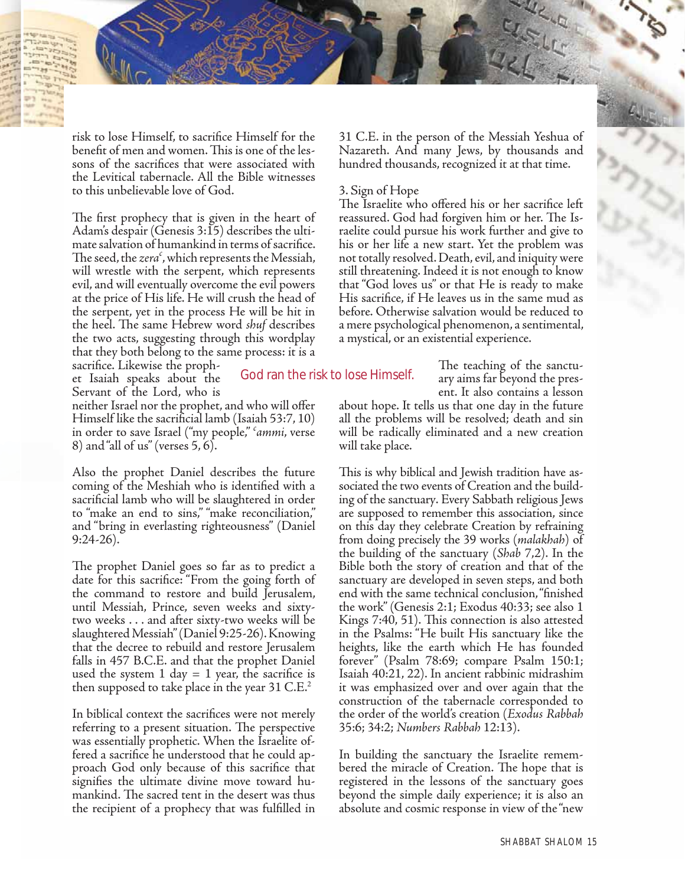risk to lose Himself, to sacrifice Himself for the benefit of men and women. This is one of the lessons of the sacrifices that were associated with the Levitical tabernacle. All the Bible witnesses to this unbelievable love of God.

The first prophecy that is given in the heart of Adam's despair (Genesis 3:15) describes the ultimate salvation of humankind in terms of sacrifice. The seed, the *zera<sup>c</sup>*, which represents the Messiah, will wrestle with the serpent, which represents evil, and will eventually overcome the evil powers at the price of His life. He will crush the head of the serpent, yet in the process He will be hit in the heel. The same Hebrew word *shuf* describes the two acts, suggesting through this wordplay that they both belong to the same process: it is a sacrifice. Likewise the proph-

et Isaiah speaks about the Servant of the Lord, who is

neither Israel nor the prophet, and who will offer Himself like the sacrificial lamb (Isaiah  $53:7,10$ ) in order to save Israel ("my people," *<sup>c</sup> ammi*, verse 8) and "all of us" (verses 5, 6).

Also the prophet Daniel describes the future coming of the Meshiah who is identified with a sacrificial lamb who will be slaughtered in order to "make an end to sins," "make reconciliation," and "bring in everlasting righteousness" (Daniel 9:24-26).

The prophet Daniel goes so far as to predict a date for this sacrifice: "From the going forth of the command to restore and build Jerusalem, until Messiah, Prince, seven weeks and sixtytwo weeks . . . and after sixty-two weeks will be slaughtered Messiah" (Daniel 9:25-26). Knowing that the decree to rebuild and restore Jerusalem falls in 457 B.C.E. and that the prophet Daniel used the system 1 day  $= 1$  year, the sacrifice is then supposed to take place in the year 31  $C.E.^2$ 

In biblical context the sacrifices were not merely referring to a present situation. The perspective was essentially prophetic. When the Israelite offered a sacrifice he understood that he could approach God only because of this sacrifice that signifies the ultimate divine move toward humankind. The sacred tent in the desert was thus the recipient of a prophecy that was fulfilled in

31 C.E. in the person of the Messiah Yeshua of Nazareth. And many Jews, by thousands and hundred thousands, recognized it at that time.

## 3. Sign of Hope

God ran the risk to lose Himself.

The Israelite who offered his or her sacrifice left reassured. God had forgiven him or her. The Israelite could pursue his work further and give to his or her life a new start. Yet the problem was not totally resolved. Death, evil, and iniquity were still threatening. Indeed it is not enough to know that "God loves us" or that He is ready to make His sacrifice, if He leaves us in the same mud as before. Otherwise salvation would be reduced to a mere psychological phenomenon, a sentimental, a mystical, or an existential experience.

> The teaching of the sanctuary aims far beyond the present. It also contains a lesson

about hope. It tells us that one day in the future all the problems will be resolved; death and sin will be radically eliminated and a new creation will take place.

This is why biblical and Jewish tradition have associated the two events of Creation and the building of the sanctuary. Every Sabbath religious Jews are supposed to remember this association, since on this day they celebrate Creation by refraining from doing precisely the 39 works (*malakhah*) of the building of the sanctuary (*Shab* 7,2). In the Bible both the story of creation and that of the sanctuary are developed in seven steps, and both end with the same technical conclusion, "finished the work" (Genesis 2:1; Exodus 40:33; see also 1 Kings 7:40, 51). This connection is also attested in the Psalms: "He built His sanctuary like the heights, like the earth which He has founded forever" (Psalm 78:69; compare Psalm 150:1; Isaiah 40:21, 22). In ancient rabbinic midrashim it was emphasized over and over again that the construction of the tabernacle corresponded to the order of the world's creation (*Exodus Rabbah* 35:6; 34:2; *Numbers Rabbah* 12:13).

In building the sanctuary the Israelite remembered the miracle of Creation. The hope that is registered in the lessons of the sanctuary goes beyond the simple daily experience; it is also an absolute and cosmic response in view of the "new